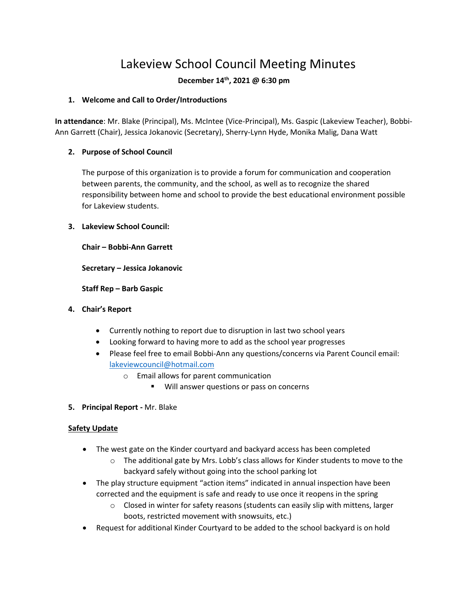# Lakeview School Council Meeting Minutes

## **December 14th, 2021 @ 6:30 pm**

#### **1. Welcome and Call to Order/Introductions**

**In attendance**: Mr. Blake (Principal), Ms. McIntee (Vice-Principal), Ms. Gaspic (Lakeview Teacher), Bobbi-Ann Garrett (Chair), Jessica Jokanovic (Secretary), Sherry-Lynn Hyde, Monika Malig, Dana Watt

## **2. Purpose of School Council**

The purpose of this organization is to provide a forum for communication and cooperation between parents, the community, and the school, as well as to recognize the shared responsibility between home and school to provide the best educational environment possible for Lakeview students.

#### **3. Lakeview School Council:**

**Chair – Bobbi-Ann Garrett**

**Secretary – Jessica Jokanovic**

**Staff Rep – Barb Gaspic**

- **4. Chair's Report**
	- Currently nothing to report due to disruption in last two school years
	- Looking forward to having more to add as the school year progresses
	- Please feel free to email Bobbi-Ann any questions/concerns via Parent Council email: [lakeviewcouncil@hotmail.com](mailto:lakeviewcouncil@hotmail.com)
		- o Email allows for parent communication
			- Will answer questions or pass on concerns
- **5. Principal Report -** Mr. Blake

## **Safety Update**

- The west gate on the Kinder courtyard and backyard access has been completed
	- $\circ$  The additional gate by Mrs. Lobb's class allows for Kinder students to move to the backyard safely without going into the school parking lot
- The play structure equipment "action items" indicated in annual inspection have been corrected and the equipment is safe and ready to use once it reopens in the spring
	- o Closed in winter for safety reasons (students can easily slip with mittens, larger boots, restricted movement with snowsuits, etc.)
- Request for additional Kinder Courtyard to be added to the school backyard is on hold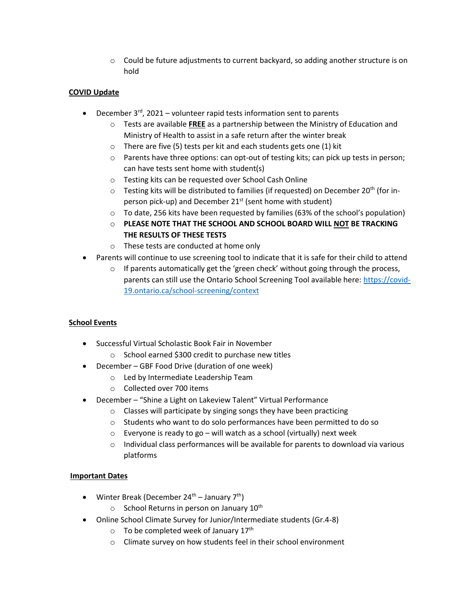$\circ$  Could be future adjustments to current backyard, so adding another structure is on hold

## **COVID Update**

- December  $3^{rd}$ , 2021 volunteer rapid tests information sent to parents
	- o Tests are available **FREE** as a partnership between the Ministry of Education and Ministry of Health to assist in a safe return after the winter break
	- o There are five (5) tests per kit and each students gets one (1) kit
	- o Parents have three options: can opt-out of testing kits; can pick up tests in person; can have tests sent home with student(s)
	- o Testing kits can be requested over School Cash Online
	- $\circ$  Testing kits will be distributed to families (if requested) on December 20<sup>th</sup> (for inperson pick-up) and December  $21<sup>st</sup>$  (sent home with student)
	- o To date, 256 kits have been requested by families (63% of the school's population)
	- o **PLEASE NOTE THAT THE SCHOOL AND SCHOOL BOARD WILL NOT BE TRACKING THE RESULTS OF THESE TESTS**
	- o These tests are conducted at home only
- Parents will continue to use screening tool to indicate that it is safe for their child to attend
	- $\circ$  If parents automatically get the 'green check' without going through the process, parents can still use the Ontario School Screening Tool available here: [https://covid-](https://covid-19.ontario.ca/school-screening/context)[19.ontario.ca/school-screening/context](https://covid-19.ontario.ca/school-screening/context)

## **School Events**

- Successful Virtual Scholastic Book Fair in November
	- o School earned \$300 credit to purchase new titles
- December GBF Food Drive (duration of one week)
	- o Led by Intermediate Leadership Team
	- o Collected over 700 items
- December "Shine a Light on Lakeview Talent" Virtual Performance
	- o Classes will participate by singing songs they have been practicing
	- o Students who want to do solo performances have been permitted to do so
	- $\circ$  Everyone is ready to go will watch as a school (virtually) next week
	- $\circ$  Individual class performances will be available for parents to download via various platforms

## **Important Dates**

- Winter Break (December  $24<sup>th</sup>$  January  $7<sup>th</sup>$ )
	- $\circ$  School Returns in person on January 10<sup>th</sup>
- Online School Climate Survey for Junior/Intermediate students (Gr.4-8)
	- $\circ$  To be completed week of January 17<sup>th</sup>
	- o Climate survey on how students feel in their school environment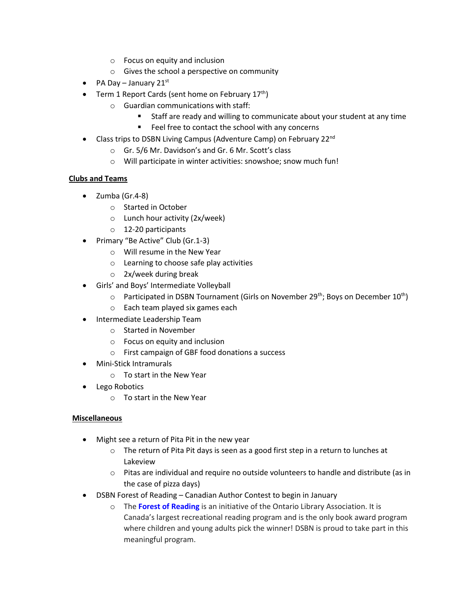- o Focus on equity and inclusion
- o Gives the school a perspective on community
- PA Day January 21st
- Term 1 Report Cards (sent home on February  $17<sup>th</sup>$ )
	- o Guardian communications with staff:
		- Staff are ready and willing to communicate about your student at any time
		- Feel free to contact the school with any concerns
- Class trips to DSBN Living Campus (Adventure Camp) on February 22<sup>nd</sup>
	- o Gr. 5/6 Mr. Davidson's and Gr. 6 Mr. Scott's class
	- o Will participate in winter activities: snowshoe; snow much fun!

#### **Clubs and Teams**

- Zumba (Gr.4-8)
	- o Started in October
	- o Lunch hour activity (2x/week)
	- o 12-20 participants
- Primary "Be Active" Club (Gr.1-3)
	- o Will resume in the New Year
	- o Learning to choose safe play activities
	- o 2x/week during break
- Girls' and Boys' Intermediate Volleyball
	- $\circ$  Participated in DSBN Tournament (Girls on November 29<sup>th</sup>; Boys on December 10<sup>th</sup>)
	- o Each team played six games each
- Intermediate Leadership Team
	- o Started in November
	- o Focus on equity and inclusion
	- o First campaign of GBF food donations a success
- Mini-Stick Intramurals
	- o To start in the New Year
- Lego Robotics
	- o To start in the New Year

#### **Miscellaneous**

- Might see a return of Pita Pit in the new year
	- o The return of Pita Pit days is seen as a good first step in a return to lunches at Lakeview
	- $\circ$  Pitas are individual and require no outside volunteers to handle and distribute (as in the case of pizza days)
- DSBN Forest of Reading Canadian Author Contest to begin in January
	- o The **[Forest of Reading](https://www.google.com/url?q=https%3A%2F%2Fforestofreading.com%2F&sa=D&sntz=1&usg=AFQjCNEPw2rWua0u1Ygs2H_ou9YgRlexvg)** is an initiative of the Ontario Library Association. It is Canada's largest recreational reading program and is the only book award program where children and young adults pick the winner! DSBN is proud to take part in this meaningful program.